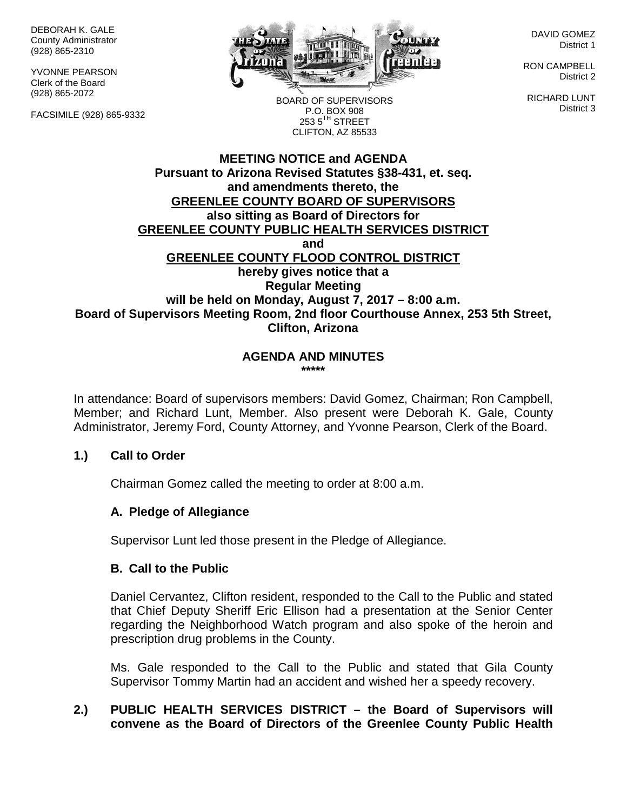DEBORAH K. GALE County Administrator (928) 865-2310

YVONNE PEARSON Clerk of the Board (928) 865-2072

FACSIMILE (928) 865-9332



DAVID GOMEZ District 1

RON CAMPBELL District 2

RICHARD LUNT District 3

BOARD OF SUPERVISORS P.O. BOX 908  $253.5$ <sup>TH</sup> STREET CLIFTON, AZ 85533

## **MEETING NOTICE and AGENDA Pursuant to Arizona Revised Statutes §38-431, et. seq. and amendments thereto, the GREENLEE COUNTY BOARD OF SUPERVISORS also sitting as Board of Directors for GREENLEE COUNTY PUBLIC HEALTH SERVICES DISTRICT and GREENLEE COUNTY FLOOD CONTROL DISTRICT hereby gives notice that a Regular Meeting will be held on Monday, August 7, 2017 – 8:00 a.m. Board of Supervisors Meeting Room, 2nd floor Courthouse Annex, 253 5th Street, Clifton, Arizona**

#### **AGENDA AND MINUTES \*\*\*\*\***

In attendance: Board of supervisors members: David Gomez, Chairman; Ron Campbell, Member; and Richard Lunt, Member. Also present were Deborah K. Gale, County Administrator, Jeremy Ford, County Attorney, and Yvonne Pearson, Clerk of the Board.

## **1.) Call to Order**

Chairman Gomez called the meeting to order at 8:00 a.m.

## **A. Pledge of Allegiance**

Supervisor Lunt led those present in the Pledge of Allegiance.

#### **B. Call to the Public**

Daniel Cervantez, Clifton resident, responded to the Call to the Public and stated that Chief Deputy Sheriff Eric Ellison had a presentation at the Senior Center regarding the Neighborhood Watch program and also spoke of the heroin and prescription drug problems in the County.

Ms. Gale responded to the Call to the Public and stated that Gila County Supervisor Tommy Martin had an accident and wished her a speedy recovery.

## **2.) PUBLIC HEALTH SERVICES DISTRICT – the Board of Supervisors will convene as the Board of Directors of the Greenlee County Public Health**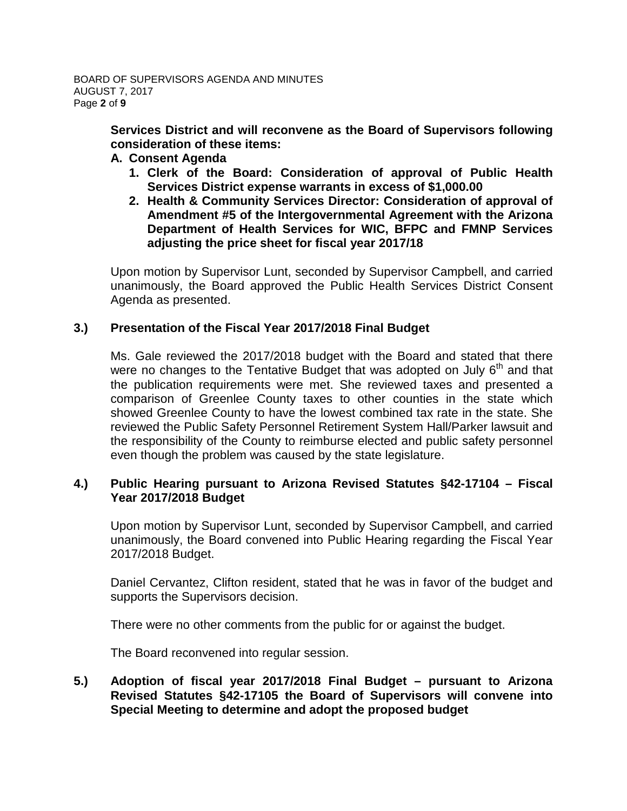**Services District and will reconvene as the Board of Supervisors following consideration of these items:**

#### **A. Consent Agenda**

- **1. Clerk of the Board: Consideration of approval of Public Health Services District expense warrants in excess of \$1,000.00**
- **2. Health & Community Services Director: Consideration of approval of Amendment #5 of the Intergovernmental Agreement with the Arizona Department of Health Services for WIC, BFPC and FMNP Services adjusting the price sheet for fiscal year 2017/18**

Upon motion by Supervisor Lunt, seconded by Supervisor Campbell, and carried unanimously, the Board approved the Public Health Services District Consent Agenda as presented.

## **3.) Presentation of the Fiscal Year 2017/2018 Final Budget**

Ms. Gale reviewed the 2017/2018 budget with the Board and stated that there were no changes to the Tentative Budget that was adopted on July  $6<sup>th</sup>$  and that the publication requirements were met. She reviewed taxes and presented a comparison of Greenlee County taxes to other counties in the state which showed Greenlee County to have the lowest combined tax rate in the state. She reviewed the Public Safety Personnel Retirement System Hall/Parker lawsuit and the responsibility of the County to reimburse elected and public safety personnel even though the problem was caused by the state legislature.

## **4.) Public Hearing pursuant to Arizona Revised Statutes §42-17104 – Fiscal Year 2017/2018 Budget**

Upon motion by Supervisor Lunt, seconded by Supervisor Campbell, and carried unanimously, the Board convened into Public Hearing regarding the Fiscal Year 2017/2018 Budget.

Daniel Cervantez, Clifton resident, stated that he was in favor of the budget and supports the Supervisors decision.

There were no other comments from the public for or against the budget.

The Board reconvened into regular session.

#### **5.) Adoption of fiscal year 2017/2018 Final Budget – pursuant to Arizona Revised Statutes §42-17105 the Board of Supervisors will convene into Special Meeting to determine and adopt the proposed budget**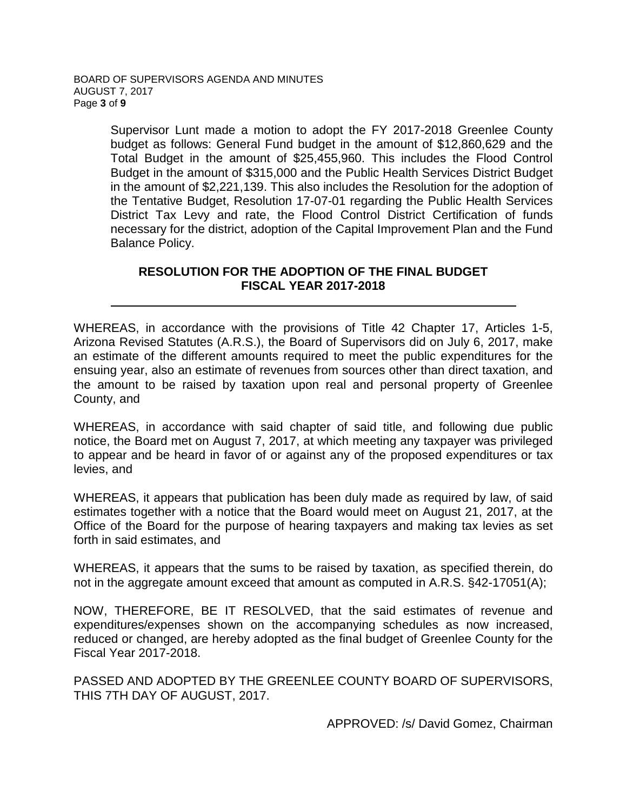Supervisor Lunt made a motion to adopt the FY 2017-2018 Greenlee County budget as follows: General Fund budget in the amount of \$12,860,629 and the Total Budget in the amount of \$25,455,960. This includes the Flood Control Budget in the amount of \$315,000 and the Public Health Services District Budget in the amount of \$2,221,139. This also includes the Resolution for the adoption of the Tentative Budget, Resolution 17-07-01 regarding the Public Health Services District Tax Levy and rate, the Flood Control District Certification of funds necessary for the district, adoption of the Capital Improvement Plan and the Fund Balance Policy.

## **RESOLUTION FOR THE ADOPTION OF THE FINAL BUDGET FISCAL YEAR 2017-2018**

WHEREAS, in accordance with the provisions of Title 42 Chapter 17, Articles 1-5, Arizona Revised Statutes (A.R.S.), the Board of Supervisors did on July 6, 2017, make an estimate of the different amounts required to meet the public expenditures for the ensuing year, also an estimate of revenues from sources other than direct taxation, and the amount to be raised by taxation upon real and personal property of Greenlee County, and

WHEREAS, in accordance with said chapter of said title, and following due public notice, the Board met on August 7, 2017, at which meeting any taxpayer was privileged to appear and be heard in favor of or against any of the proposed expenditures or tax levies, and

WHEREAS, it appears that publication has been duly made as required by law, of said estimates together with a notice that the Board would meet on August 21, 2017, at the Office of the Board for the purpose of hearing taxpayers and making tax levies as set forth in said estimates, and

WHEREAS, it appears that the sums to be raised by taxation, as specified therein, do not in the aggregate amount exceed that amount as computed in A.R.S. §42-17051(A);

NOW, THEREFORE, BE IT RESOLVED, that the said estimates of revenue and expenditures/expenses shown on the accompanying schedules as now increased, reduced or changed, are hereby adopted as the final budget of Greenlee County for the Fiscal Year 2017-2018.

PASSED AND ADOPTED BY THE GREENLEE COUNTY BOARD OF SUPERVISORS, THIS 7TH DAY OF AUGUST, 2017.

APPROVED: /s/ David Gomez, Chairman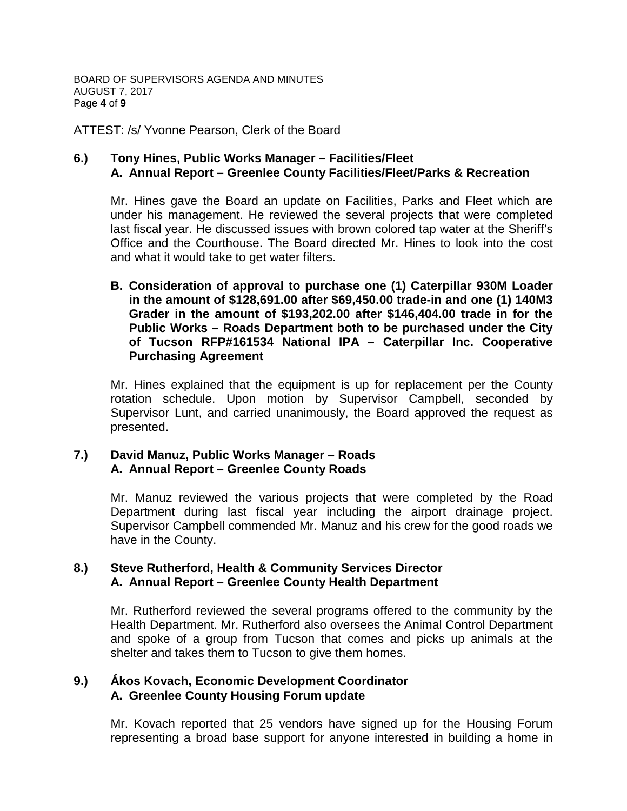BOARD OF SUPERVISORS AGENDA AND MINUTES AUGUST 7, 2017 Page **4** of **9**

ATTEST: /s/ Yvonne Pearson, Clerk of the Board

## **6.) Tony Hines, Public Works Manager – Facilities/Fleet A. Annual Report – Greenlee County Facilities/Fleet/Parks & Recreation**

Mr. Hines gave the Board an update on Facilities, Parks and Fleet which are under his management. He reviewed the several projects that were completed last fiscal year. He discussed issues with brown colored tap water at the Sheriff's Office and the Courthouse. The Board directed Mr. Hines to look into the cost and what it would take to get water filters.

**B. Consideration of approval to purchase one (1) Caterpillar 930M Loader in the amount of \$128,691.00 after \$69,450.00 trade-in and one (1) 140M3 Grader in the amount of \$193,202.00 after \$146,404.00 trade in for the Public Works – Roads Department both to be purchased under the City of Tucson RFP#161534 National IPA – Caterpillar Inc. Cooperative Purchasing Agreement**

Mr. Hines explained that the equipment is up for replacement per the County rotation schedule. Upon motion by Supervisor Campbell, seconded by Supervisor Lunt, and carried unanimously, the Board approved the request as presented.

## **7.) David Manuz, Public Works Manager – Roads A. Annual Report – Greenlee County Roads**

Mr. Manuz reviewed the various projects that were completed by the Road Department during last fiscal year including the airport drainage project. Supervisor Campbell commended Mr. Manuz and his crew for the good roads we have in the County.

## **8.) Steve Rutherford, Health & Community Services Director A. Annual Report – Greenlee County Health Department**

Mr. Rutherford reviewed the several programs offered to the community by the Health Department. Mr. Rutherford also oversees the Animal Control Department and spoke of a group from Tucson that comes and picks up animals at the shelter and takes them to Tucson to give them homes.

#### **9.) Ákos Kovach, Economic Development Coordinator A. Greenlee County Housing Forum update**

Mr. Kovach reported that 25 vendors have signed up for the Housing Forum representing a broad base support for anyone interested in building a home in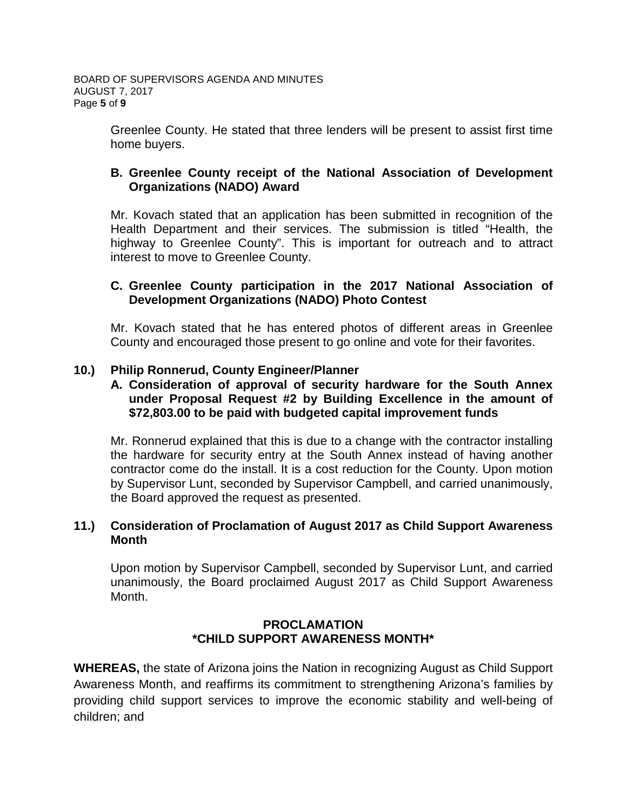Greenlee County. He stated that three lenders will be present to assist first time home buyers.

## **B. Greenlee County receipt of the National Association of Development Organizations (NADO) Award**

Mr. Kovach stated that an application has been submitted in recognition of the Health Department and their services. The submission is titled "Health, the highway to Greenlee County". This is important for outreach and to attract interest to move to Greenlee County.

## **C. Greenlee County participation in the 2017 National Association of Development Organizations (NADO) Photo Contest**

Mr. Kovach stated that he has entered photos of different areas in Greenlee County and encouraged those present to go online and vote for their favorites.

# **10.) Philip Ronnerud, County Engineer/Planner**

## **A. Consideration of approval of security hardware for the South Annex under Proposal Request #2 by Building Excellence in the amount of \$72,803.00 to be paid with budgeted capital improvement funds**

Mr. Ronnerud explained that this is due to a change with the contractor installing the hardware for security entry at the South Annex instead of having another contractor come do the install. It is a cost reduction for the County. Upon motion by Supervisor Lunt, seconded by Supervisor Campbell, and carried unanimously, the Board approved the request as presented.

## **11.) Consideration of Proclamation of August 2017 as Child Support Awareness Month**

Upon motion by Supervisor Campbell, seconded by Supervisor Lunt, and carried unanimously, the Board proclaimed August 2017 as Child Support Awareness Month.

#### **PROCLAMATION \*CHILD SUPPORT AWARENESS MONTH\***

**WHEREAS,** the state of Arizona joins the Nation in recognizing August as Child Support Awareness Month, and reaffirms its commitment to strengthening Arizona's families by providing child support services to improve the economic stability and well-being of children; and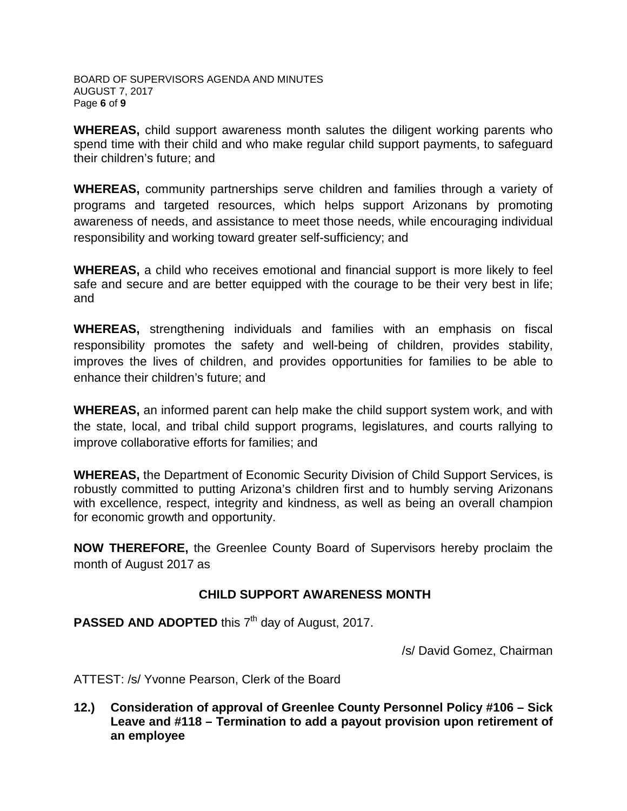BOARD OF SUPERVISORS AGENDA AND MINUTES AUGUST 7, 2017 Page **6** of **9**

**WHEREAS,** child support awareness month salutes the diligent working parents who spend time with their child and who make regular child support payments, to safeguard their children's future; and

**WHEREAS,** community partnerships serve children and families through a variety of programs and targeted resources, which helps support Arizonans by promoting awareness of needs, and assistance to meet those needs, while encouraging individual responsibility and working toward greater self-sufficiency; and

**WHEREAS,** a child who receives emotional and financial support is more likely to feel safe and secure and are better equipped with the courage to be their very best in life; and

**WHEREAS,** strengthening individuals and families with an emphasis on fiscal responsibility promotes the safety and well-being of children, provides stability, improves the lives of children, and provides opportunities for families to be able to enhance their children's future; and

**WHEREAS,** an informed parent can help make the child support system work, and with the state, local, and tribal child support programs, legislatures, and courts rallying to improve collaborative efforts for families; and

**WHEREAS,** the Department of Economic Security Division of Child Support Services, is robustly committed to putting Arizona's children first and to humbly serving Arizonans with excellence, respect, integrity and kindness, as well as being an overall champion for economic growth and opportunity.

**NOW THEREFORE,** the Greenlee County Board of Supervisors hereby proclaim the month of August 2017 as

## **CHILD SUPPORT AWARENESS MONTH**

**PASSED AND ADOPTED** this 7<sup>th</sup> day of August, 2017.

/s/ David Gomez, Chairman

ATTEST: /s/ Yvonne Pearson, Clerk of the Board

**12.) Consideration of approval of Greenlee County Personnel Policy #106 – Sick Leave and #118 – Termination to add a payout provision upon retirement of an employee**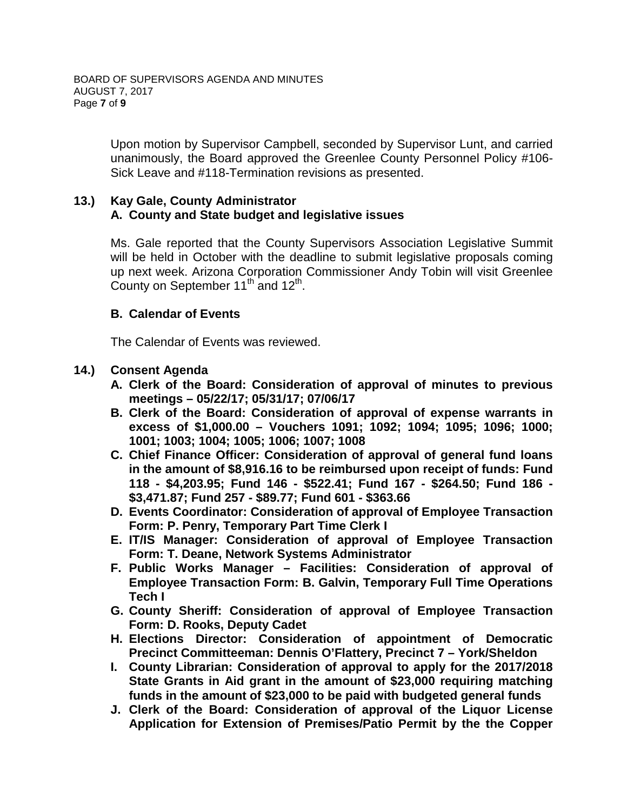Upon motion by Supervisor Campbell, seconded by Supervisor Lunt, and carried unanimously, the Board approved the Greenlee County Personnel Policy #106- Sick Leave and #118-Termination revisions as presented.

# **13.) Kay Gale, County Administrator A. County and State budget and legislative issues**

Ms. Gale reported that the County Supervisors Association Legislative Summit will be held in October with the deadline to submit legislative proposals coming up next week. Arizona Corporation Commissioner Andy Tobin will visit Greenlee County on September 11<sup>th</sup> and 12<sup>th</sup>.

## **B. Calendar of Events**

The Calendar of Events was reviewed.

# **14.) Consent Agenda**

- **A. Clerk of the Board: Consideration of approval of minutes to previous meetings – 05/22/17; 05/31/17; 07/06/17**
- **B. Clerk of the Board: Consideration of approval of expense warrants in excess of \$1,000.00 – Vouchers 1091; 1092; 1094; 1095; 1096; 1000; 1001; 1003; 1004; 1005; 1006; 1007; 1008**
- **C. Chief Finance Officer: Consideration of approval of general fund loans in the amount of \$8,916.16 to be reimbursed upon receipt of funds: Fund 118 - \$4,203.95; Fund 146 - \$522.41; Fund 167 - \$264.50; Fund 186 - \$3,471.87; Fund 257 - \$89.77; Fund 601 - \$363.66**
- **D. Events Coordinator: Consideration of approval of Employee Transaction Form: P. Penry, Temporary Part Time Clerk I**
- **E. IT/IS Manager: Consideration of approval of Employee Transaction Form: T. Deane, Network Systems Administrator**
- **F. Public Works Manager – Facilities: Consideration of approval of Employee Transaction Form: B. Galvin, Temporary Full Time Operations Tech I**
- **G. County Sheriff: Consideration of approval of Employee Transaction Form: D. Rooks, Deputy Cadet**
- **H. Elections Director: Consideration of appointment of Democratic Precinct Committeeman: Dennis O'Flattery, Precinct 7 – York/Sheldon**
- **I. County Librarian: Consideration of approval to apply for the 2017/2018 State Grants in Aid grant in the amount of \$23,000 requiring matching funds in the amount of \$23,000 to be paid with budgeted general funds**
- **J. Clerk of the Board: Consideration of approval of the Liquor License Application for Extension of Premises/Patio Permit by the the Copper**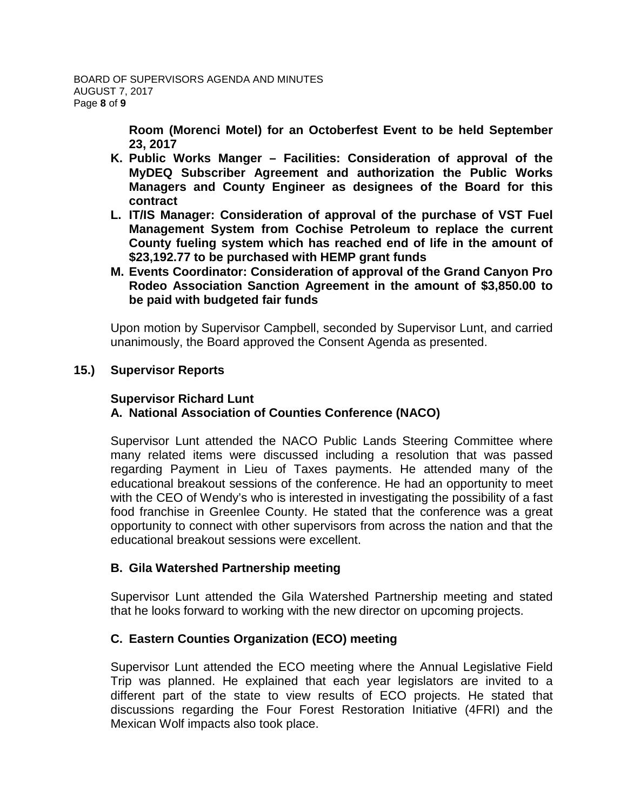**Room (Morenci Motel) for an Octoberfest Event to be held September 23, 2017**

- **K. Public Works Manger – Facilities: Consideration of approval of the MyDEQ Subscriber Agreement and authorization the Public Works Managers and County Engineer as designees of the Board for this contract**
- **L. IT/IS Manager: Consideration of approval of the purchase of VST Fuel Management System from Cochise Petroleum to replace the current County fueling system which has reached end of life in the amount of \$23,192.77 to be purchased with HEMP grant funds**
- **M. Events Coordinator: Consideration of approval of the Grand Canyon Pro Rodeo Association Sanction Agreement in the amount of \$3,850.00 to be paid with budgeted fair funds**

Upon motion by Supervisor Campbell, seconded by Supervisor Lunt, and carried unanimously, the Board approved the Consent Agenda as presented.

# **15.) Supervisor Reports**

# **Supervisor Richard Lunt A. National Association of Counties Conference (NACO)**

Supervisor Lunt attended the NACO Public Lands Steering Committee where many related items were discussed including a resolution that was passed regarding Payment in Lieu of Taxes payments. He attended many of the educational breakout sessions of the conference. He had an opportunity to meet with the CEO of Wendy's who is interested in investigating the possibility of a fast food franchise in Greenlee County. He stated that the conference was a great opportunity to connect with other supervisors from across the nation and that the educational breakout sessions were excellent.

# **B. Gila Watershed Partnership meeting**

Supervisor Lunt attended the Gila Watershed Partnership meeting and stated that he looks forward to working with the new director on upcoming projects.

# **C. Eastern Counties Organization (ECO) meeting**

Supervisor Lunt attended the ECO meeting where the Annual Legislative Field Trip was planned. He explained that each year legislators are invited to a different part of the state to view results of ECO projects. He stated that discussions regarding the Four Forest Restoration Initiative (4FRI) and the Mexican Wolf impacts also took place.